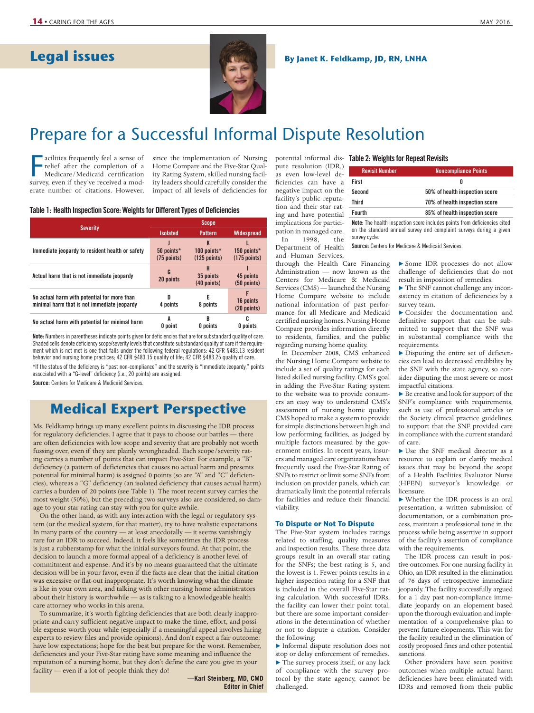

### **Legal issues By Janet K. Feldkamp, JD, RN, LNHA**

# Prepare for a Successful Informal Dispute Resolution

acilities frequently feel a sense of<br>relief after the completion of a<br>Medicare/Medicaid certification<br>survey, even if they've received a mod-

since the implementation of Nursing Home Compare and the Five-Star Quality Rating System, skilled nursing facilsurvey, even if they've received a mod- ity leaders should carefully consider the erate number of citations. However, impact of all levels of deficiencies for impact of all levels of deficiencies for

### Table 1: Health Inspection Score: Weights for Different Types of Deficiencies

|                                                                                            | <b>Scope</b>                |                                    |                                 |
|--------------------------------------------------------------------------------------------|-----------------------------|------------------------------------|---------------------------------|
| <b>Severity</b>                                                                            | <b>Isolated</b>             | <b>Pattern</b>                     | Widespread                      |
| Immediate jeopardy to resident health or safety                                            | 50 points*<br>$(75$ points) | K<br>100 points*<br>$(125$ points) | 150 points*<br>$(175$ points)   |
| Actual harm that is not immediate jeopardy                                                 | G<br>20 points              | H<br>35 points<br>$(40$ points)    | 45 points<br>$(50$ points)      |
| No actual harm with potential for more than<br>minimal harm that is not immediate jeopardy | 4 points                    | F<br>8 points                      | F<br>16 points<br>$(20$ points) |
| No actual harm with potential for minimal harm                                             | A<br>0 point                | B<br>0 points                      | 0 points                        |

Note: Numbers in parentheses indicate points given for deficiencies that are for substandard quality of care. Shaded cells denote deficiency scope/severity levels that constitute substandard quality of care if the requirement which is not met is one that falls under the following federal regulations: 42 CFR §483.13 resident behavior and nursing home practices; 42 CFR §483.15 quality of life; 42 CFR §483.25 quality of care.

\*If the status of the deficiency is "past non-compliance" and the severity is "Immediate Jeopardy," points associated with a "G-level" deficiency (i.e., 20 points) are assigned.

Source: Centers for Medicare & Medicaid Services.

### **Medical Expert Perspective**

Ms. Feldkamp brings up many excellent points in discussing the IDR process for regulatory deficiencies. I agree that it pays to choose our battles — there are often deficiencies with low scope and severity that are probably not worth fussing over, even if they are plainly wrongheaded. Each scope/severity rating carries a number of points that can impact Five-Star. For example, a "B" deficiency (a pattern of deficiencies that causes no actual harm and presents potential for minimal harm) is assigned 0 points (so are "A" and "C" deficiencies), whereas a "G" deficiency (an isolated deficiency that causes actual harm) carries a burden of 20 points (see Table 1). The most recent survey carries the most weight (50%), but the preceding two surveys also are considered, so damage to your star rating can stay with you for quite awhile.

On the other hand, as with any interaction with the legal or regulatory system (or the medical system, for that matter), try to have realistic expectations. In many parts of the country — at least anecdotally — it seems vanishingly rare for an IDR to succeed. Indeed, it feels like sometimes the IDR process is just a rubberstamp for what the initial surveyors found. At that point, the decision to launch a more formal appeal of a deficiency is another level of commitment and expense. And it's by no means guaranteed that the ultimate decision will be in your favor, even if the facts are clear that the initial citation was excessive or flat-out inappropriate. It's worth knowing what the climate is like in your own area, and talking with other nursing home administrators about their history is worthwhile — as is talking to a knowledgeable health care attorney who works in this arena.

To summarize, it's worth fighting deficiencies that are both clearly inappropriate and carry sufficient negative impact to make the time, effort, and possible expense worth your while (especially if a meaningful appeal involves hiring experts to review files and provide opinions). And don't expect a fair outcome: have low expectations; hope for the best but prepare for the worst. Remember, deficiencies and your Five-Star rating have some meaning and influence the reputation of a nursing home, but they don't define the care you give in your facility — even if a lot of people think they do!

**—Karl Steinberg, MD, CMD Editor in Chief**

pute resolution (IDR,) as even low-level deficiencies can have a negative impact on the facility's public reputation and their star rating and have potential implications for participation in managed care. Department of Health

In 1998, the

and Human Services, through the Health Care Financing Administration — now known as the Centers for Medicare & Medicaid Services (CMS) — launched the Nursing Home Compare website to include national information of past performance for all Medicare and Medicaid certified nursing homes. Nursing Home Compare provides information directly to residents, families, and the public

regarding nursing home quality. In December 2008, CMS enhanced the Nursing Home Compare website to include a set of quality ratings for each listed skilled nursing facility. CMS's goal in adding the Five-Star Rating system to the website was to provide consumers an easy way to understand CMS's assessment of nursing home quality. CMS hoped to make a system to provide for simple distinctions between high and low performing facilities, as judged by multiple factors measured by the government entities. In recent years, insurers and managed care organizations have frequently used the Five-Star Rating of SNFs to restrict or limit some SNFs from inclusion on provider panels, which can dramatically limit the potential referrals for facilities and reduce their financial viability.

#### **To Dispute or Not To Dispute**

 The Five-Star system includes ratings related to staffing, quality measures and inspection results. These three data groups result in an overall star rating for the SNFs; the best rating is 5, and the lowest is 1. Fewer points results in a higher inspection rating for a SNF that is included in the overall Five-Star rating calculation. With successful IDRs, the facility can lower their point total, but there are some important considerations in the determination of whether or not to dispute a citation. Consider the following:

 $\blacktriangleright$  Informal dispute resolution does not stop or delay enforcement of remedies. ▶ The survey process itself, or any lack of compliance with the survey protocol by the state agency, cannot be challenged.

#### potential informal dis- Table 2: Weights for Repeat Revisits

| <b>Revisit Number</b> | <b>Noncompliance Points</b>    |
|-----------------------|--------------------------------|
| First                 | 0                              |
| Second                | 50% of health inspection score |
| Third                 | 70% of health inspection score |
| <b>Fourth</b>         | 85% of health inspection score |
|                       |                                |

Note: The health inspection score includes points from deficiencies cited on the standard annual survey and complaint surveys during a given survey cycle.

Source: Centers for Medicare & Medicaid Services.

▶ Some IDR processes do not allow challenge of deficiencies that do not result in imposition of remedies.

▶ The SNF cannot challenge any inconsistency in citation of deficiencies by a survey team.

▶ Consider the documentation and definitive support that can be submitted to support that the SNF was in substantial compliance with the requirements.

▶ Disputing the entire set of deficiencies can lead to decreased credibility by the SNF with the state agency, so consider disputing the most severe or most impactful citations.

▶ Be creative and look for support of the SNF's compliance with requirements, such as use of professional articles or the Society clinical practice guidelines, to support that the SNF provided care in compliance with the current standard of care.

▶ Use the SNF medical director as a resource to explain or clarify medical issues that may be beyond the scope of a Health Facilities Evaluator Nurse (HFEN) surveyor's knowledge or licensure.

▶ Whether the IDR process is an oral presentation, a written submission of documentation, or a combination process, maintain a professional tone in the process while being assertive in support of the facility's assertion of compliance with the requirements.

The IDR process can result in positive outcomes. For one nursing facility in Ohio, an IDR resulted in the elimination of 76 days of retrospective immediate jeopardy. The facility successfully argued for a 1 day past non-compliance immediate jeopardy on an elopement based upon the thorough evaluation and implementation of a comprehensive plan to prevent future elopements. This win for the facility resulted in the elimination of costly proposed fines and other potential sanctions.

 Other providers have seen positive outcomes when multiple actual harm deficiencies have been eliminated with IDRs and removed from their public